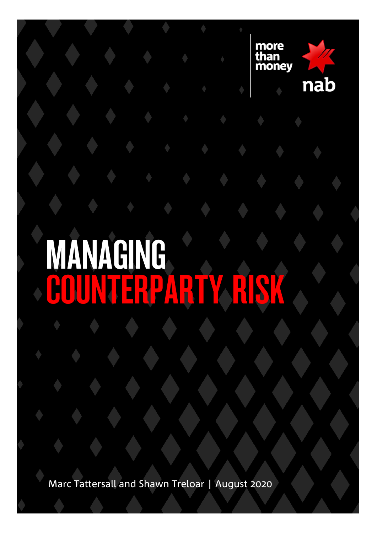

# MANAGING ERPAR

Marc Tattersall and Shawn Treloar | August 2020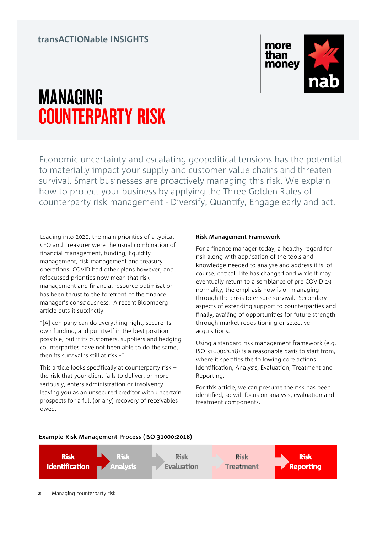### **transACTIONable INSIGHTS**



## MANAGING COUNTERPARTY RISK

Economic uncertainty and escalating geopolitical tensions has the potential to materially impact your supply and customer value chains and threaten survival. Smart businesses are proactively managing this risk. We explain how to protect your business by applying the Three Golden Rules of counterparty risk management - Diversify, Quantify, Engage early and act.

Leading into 2020, the main priorities of a typical CFO and Treasurer were the usual combination of financial management, funding, liquidity management, risk management and treasury operations. COVID had other plans however, and refocussed priorities now mean that risk management and financial resource optimisation has been thrust to the forefront of the finance manager's consciousness. A recent Bloomberg article puts it succinctly –

"[A] company can do everything right, secure its own funding, and put itself in the best position possible, but if its customers, suppliers and hedging counterparties have not been able to do the same, then its survival is still at risk.<sup>1"</sup>

This article looks specifically at counterparty risk – the risk that your client fails to deliver, or more seriously, enters administration or insolvency leaving you as an unsecured creditor with uncertain prospects for a full (or any) recovery of receivables owed.

#### **Risk Management Framework**

For a finance manager today, a healthy regard for risk along with application of the tools and knowledge needed to analyse and address it is, of course, critical. Life has changed and while it may eventually return to a semblance of pre-COVID-19 normality, the emphasis now is on managing through the crisis to ensure survival. Secondary aspects of extending support to counterparties and finally, availing of opportunities for future strength through market repositioning or selective acquisitions.

Using a standard risk management framework (e.g. ISO 31000:2018) is a reasonable basis to start from, where it specifies the following core actions: Identification, Analysis, Evaluation, Treatment and Reporting.

For this article, we can presume the risk has been identified, so will focus on analysis, evaluation and treatment components.



Example Risk Management Process (ISO 31000:2018)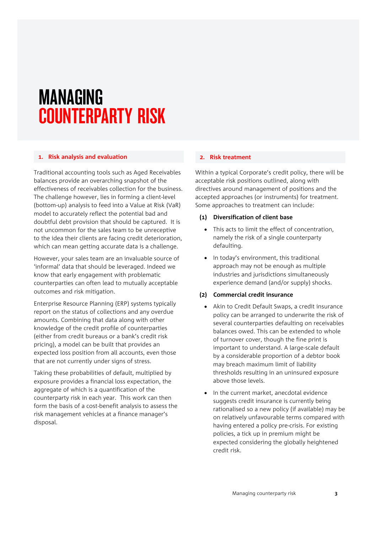## MANAGING COUNTERPARTY RISK

#### **1. Risk analysis and evaluation**

Traditional accounting tools such as Aged Receivables balances provide an overarching snapshot of the effectiveness of receivables collection for the business. The challenge however, lies in forming a client-level (bottom-up) analysis to feed into a Value at Risk (VaR) model to accurately reflect the potential bad and doubtful debt provision that should be captured. It is not uncommon for the sales team to be unreceptive to the idea their clients are facing credit deterioration, which can mean getting accurate data is a challenge.

However, your sales team are an invaluable source of 'informal' data that should be leveraged. Indeed we know that early engagement with problematic counterparties can often lead to mutually acceptable outcomes and risk mitigation.

Enterprise Resource Planning (ERP) systems typically report on the status of collections and any overdue amounts. Combining that data along with other knowledge of the credit profile of counterparties (either from credit bureaus or a bank's credit risk pricing), a model can be built that provides an expected loss position from all accounts, even those that are not currently under signs of stress.

Taking these probabilities of default, multiplied by exposure provides a financial loss expectation, the aggregate of which is a quantification of the counterparty risk in each year. This work can then form the basis of a cost-benefit analysis to assess the risk management vehicles at a finance manager's disposal.

#### **2. Risk treatment**

Within a typical Corporate's credit policy, there will be acceptable risk positions outlined, along with directives around management of positions and the accepted approaches (or instruments) for treatment. Some approaches to treatment can include:

#### **(1) Diversification of client base**

- This acts to limit the effect of concentration, namely the risk of a single counterparty defaulting.
- In today's environment, this traditional approach may not be enough as multiple industries and jurisdictions simultaneously experience demand (and/or supply) shocks.

#### **(2) Commercial credit insurance**

- Akin to Credit Default Swaps, a credit insurance policy can be arranged to underwrite the risk of several counterparties defaulting on receivables balances owed. This can be extended to whole of turnover cover, though the fine print is important to understand. A large-scale default by a considerable proportion of a debtor book may breach maximum limit of liability thresholds resulting in an uninsured exposure above those levels.
- In the current market, anecdotal evidence suggests credit insurance is currently being rationalised so a new policy (if available) may be on relatively unfavourable terms compared with having entered a policy pre-crisis. For existing policies, a tick up in premium might be expected considering the globally heightened credit risk.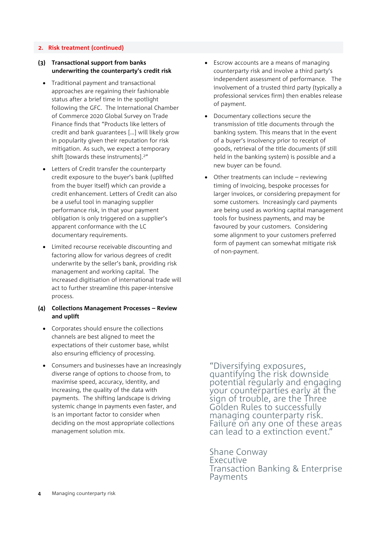#### **2. Risk treatment (continued)**

#### **(3) Transactional support from banks underwriting the counterparty's credit risk**

- Traditional payment and transactional approaches are regaining their fashionable status after a brief time in the spotlight following the GFC. The International Chamber of Commerce 2020 Global Survey on Trade Finance finds that "Products like letters of credit and bank guarantees […] will likely grow in popularity given their reputation for risk mitigation. As such, we expect a temporary shift [towards these instruments].2"
- Letters of Credit transfer the counterparty credit exposure to the buyer's bank (uplifted from the buyer itself) which can provide a credit enhancement. Letters of Credit can also be a useful tool in managing supplier performance risk, in that your payment obligation is only triggered on a supplier's apparent conformance with the LC documentary requirements.
- Limited recourse receivable discounting and factoring allow for various degrees of credit underwrite by the seller's bank, providing risk management and working capital. The increased digitisation of international trade will act to further streamline this paper-intensive process.

#### **(4) Collections Management Processes – Review and uplift**

- Corporates should ensure the collections channels are best aligned to meet the expectations of their customer base, whilst also ensuring efficiency of processing.
- Consumers and businesses have an increasingly diverse range of options to choose from, to maximise speed, accuracy, identity, and increasing, the quality of the data with payments. The shifting landscape is driving systemic change in payments even faster, and is an important factor to consider when deciding on the most appropriate collections management solution mix.
- Escrow accounts are a means of managing counterparty risk and involve a third party's independent assessment of performance. The involvement of a trusted third party (typically a professional services firm) then enables release of payment.
- Documentary collections secure the transmission of title documents through the banking system. This means that in the event of a buyer's insolvency prior to receipt of goods, retrieval of the title documents (if still held in the banking system) is possible and a new buyer can be found.
- Other treatments can include reviewing timing of invoicing, bespoke processes for larger invoices, or considering prepayment for some customers. Increasingly card payments are being used as working capital management tools for business payments, and may be favoured by your customers. Considering some alignment to your customers preferred form of payment can somewhat mitigate risk of non-payment.

"Diversifying exposures, quantifying the risk downside potential regularly and engaging your counterparties early at the sign of trouble, are the Three Golden Rules to successfully managing counterparty risk. Failure on any one of these areas can lead to a extinction event."

Shane Conway Executive Transaction Banking & Enterprise Payments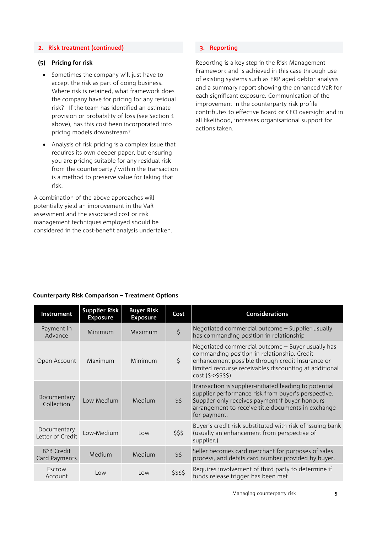#### **2. Risk treatment (continued)**

#### **(5) Pricing for risk**

- Sometimes the company will just have to accept the risk as part of doing business. Where risk is retained, what framework does the company have for pricing for any residual risk? If the team has identified an estimate provision or probability of loss (see Section 1 above), has this cost been incorporated into pricing models downstream?
- Analysis of risk pricing is a complex issue that requires its own deeper paper, but ensuring you are pricing suitable for any residual risk from the counterparty / within the transaction is a method to preserve value for taking that risk.

A combination of the above approaches will potentially yield an improvement in the VaR assessment and the associated cost or risk management techniques employed should be considered in the cost-benefit analysis undertaken.

#### **3. Reporting**

Reporting is a key step in the Risk Management Framework and is achieved in this case through use of existing systems such as ERP aged debtor analysis and a summary report showing the enhanced VaR for each significant exposure. Communication of the improvement in the counterparty risk profile contributes to effective Board or CEO oversight and in all likelihood, increases organisational support for actions taken.

| Instrument                         | <b>Supplier Risk</b><br><b>Exposure</b> | <b>Buyer Risk</b><br><b>Exposure</b> | Cost     | <b>Considerations</b>                                                                                                                                                                                                                  |
|------------------------------------|-----------------------------------------|--------------------------------------|----------|----------------------------------------------------------------------------------------------------------------------------------------------------------------------------------------------------------------------------------------|
| Payment in<br>Advance              | Minimum                                 | Maximum                              | \$       | Negotiated commercial outcome - Supplier usually<br>has commanding position in relationship                                                                                                                                            |
| Open Account                       | Maximum                                 | Minimum                              | \$       | Negotiated commercial outcome - Buyer usually has<br>commanding position in relationship. Credit<br>enhancement possible through credit insurance or<br>limited recourse receivables discounting at additional<br>$cost (5-5555).$     |
| Documentary<br>Collection          | Low-Medium                              | Medium                               | \$5      | Transaction is supplier-initiated leading to potential<br>supplier performance risk from buyer's perspective.<br>Supplier only receives payment if buyer honours<br>arrangement to receive title documents in exchange<br>for payment. |
| Documentary<br>Letter of Credit    | Low-Medium                              | Low                                  | \$\$\$   | Buyer's credit risk substituted with risk of issuing bank<br>(usually an enhancement from perspective of<br>supplier.)                                                                                                                 |
| <b>B2B Credit</b><br>Card Payments | Medium                                  | Medium                               | \$5      | Seller becomes card merchant for purposes of sales<br>process, and debits card number provided by buyer.                                                                                                                               |
| Escrow<br>Account                  | Low                                     | Low                                  | \$\$\$\$ | Requires involvement of third party to determine if<br>funds release trigger has been met                                                                                                                                              |

#### **Counterparty Risk Comparison – Treatment Options**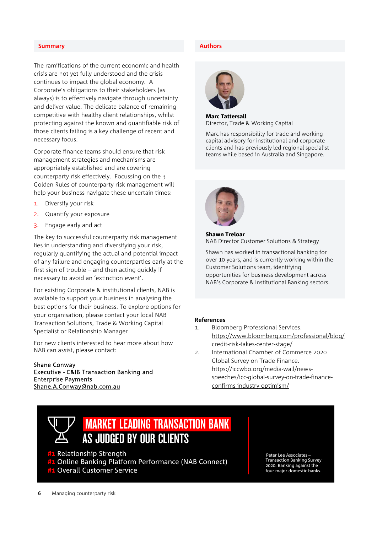#### **Summary Authors**

The ramifications of the current economic and health crisis are not yet fully understood and the crisis continues to impact the global economy. A Corporate's obligations to their stakeholders (as always) is to effectively navigate through uncertainty and deliver value. The delicate balance of remaining competitive with healthy client relationships, whilst protecting against the known and quantifiable risk of those clients failing is a key challenge of recent and necessary focus.

Corporate finance teams should ensure that risk management strategies and mechanisms are appropriately established and are covering counterparty risk effectively. Focussing on the 3 Golden Rules of counterparty risk management will help your business navigate these uncertain times:

- 1. Diversify your risk
- 2. Quantify your exposure
- 3. Engage early and act

The key to successful counterparty risk management lies in understanding and diversifying your risk, regularly quantifying the actual and potential impact of any failure and engaging counterparties early at the first sign of trouble – and then acting quickly if necessary to avoid an 'extinction event'.

For existing Corporate & institutional clients, NAB is available to support your business in analysing the best options for their business. To explore options for your organisation, please contact your local NAB Transaction Solutions, Trade & Working Capital Specialist or Relationship Manager

For new clients interested to hear more about how NAB can assist, please contact:

#### Shane Conway Executive - C&IB Transaction Banking and Enterprise Payments Shane.A.Conway@nab.com.au



Marc Tattersall Director, Trade & Working Capital

Marc has responsibility for trade and working capital advisory for institutional and corporate clients and has previously led regional specialist teams while based in Australia and Singapore.



```
Shawn Treloar
NAB Director Customer Solutions & Strategy
```
Shawn has worked in transactional banking for over 10 years, and is currently working within the Customer Solutions team, identifying opportunities for business development across NAB's Corporate & Institutional Banking sectors.

#### **References**

- 1. Bloomberg Professional Services. https://www.bloomberg.com/professional/blog/ credit-risk-takes-center-stage/
- 2. International Chamber of Commerce 2020 Global Survey on Trade Finance. https://iccwbo.org/media-wall/newsspeeches/icc-global-survey-on-trade-financeconfirms-industry-optimism/

### MARKET LEADING TRANSACTION BANK AS JUDGED BY OUR CLIENTS

**#1 Relationship Strength** 

Online Banking Platform Performance (NAB Connect)

Overall Customer Service

Peter Lee Associates – Transaction Banking Survey 2020. Ranking against the four major domestic banks.